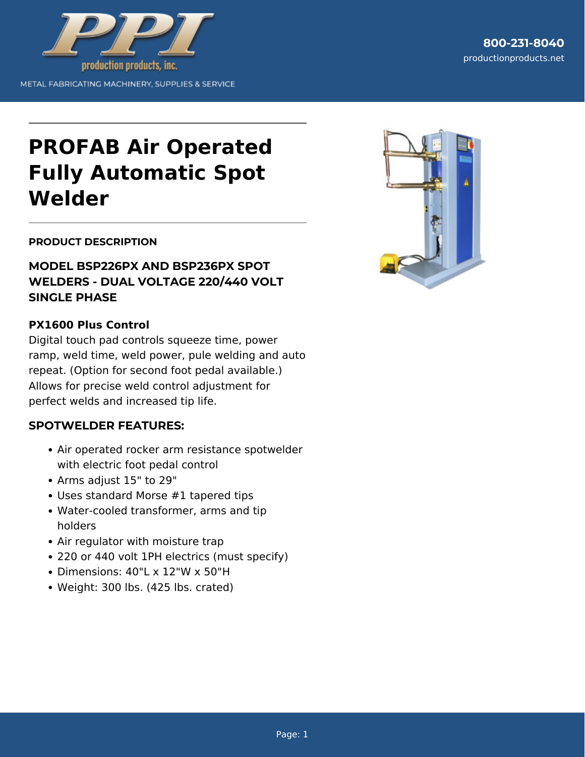

# **PROFAB Air Operated Fully Automatic Spot Welder**

### **PRODUCT DESCRIPTION**

# **MODEL BSP226PX AND BSP236PX SPOT WELDERS - DUAL VOLTAGE 220/440 VOLT SINGLE PHASE**

### **PX1600 Plus Control**

Digital touch pad controls squeeze time, power ramp, weld time, weld power, pule welding and auto repeat. (Option for second foot pedal available.) Allows for precise weld control adjustment for perfect welds and increased tip life.

#### **SPOTWELDER FEATURES:**

- Air operated rocker arm resistance spotwelder with electric foot pedal control
- Arms adjust 15" to 29"
- Uses standard Morse #1 tapered tips
- Water-cooled transformer, arms and tip holders
- Air regulator with moisture trap
- 220 or 440 volt 1PH electrics (must specify)
- Dimensions: 40"L x 12"W x 50"H
- Weight: 300 lbs. (425 lbs. crated)

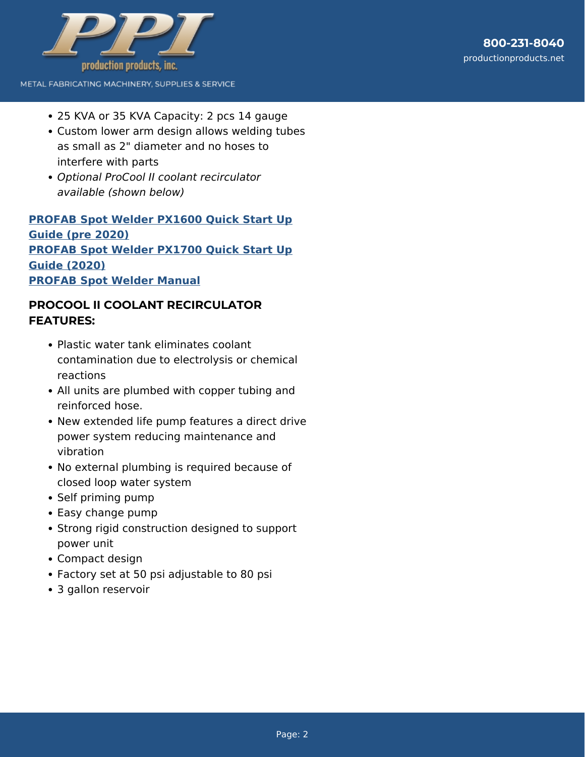

- METAL FABRICATING MACHINERY, SUPPLIES & SERVICE
	- 25 KVA or 35 KVA Capacity: 2 pcs 14 gauge
	- Custom lower arm design allows welding tubes as small as 2" diameter and no hoses to interfere with parts
	- Optional ProCool II coolant recirculator available (shown below)

# **[PROFAB Spot Welder PX1600 Quick Start Up](https://www.productionproducts.net/profab-spot-welder-px1600-quick-start-up-guide/) [Guide \(pre 2020\)](https://www.productionproducts.net/profab-spot-welder-px1600-quick-start-up-guide/) [PROFAB Spot Welder PX1700 Quick Start Up](https://www.productionproducts.net/profab-spot-welder-px1700-quick-start-up-guide/) [Guide \(2020\)](https://www.productionproducts.net/profab-spot-welder-px1700-quick-start-up-guide/) [PROFAB Spot Welder Manual](https://www.productionproducts.net/support/parts-diagrams/profab-spot-welder-manual/)**

# **PROCOOL II COOLANT RECIRCULATOR FEATURES:**

- Plastic water tank eliminates coolant contamination due to electrolysis or chemical reactions
- All units are plumbed with copper tubing and reinforced hose.
- New extended life pump features a direct drive power system reducing maintenance and vibration
- No external plumbing is required because of closed loop water system
- Self priming pump
- Easy change pump
- Strong rigid construction designed to support power unit
- Compact design
- Factory set at 50 psi adjustable to 80 psi
- 3 gallon reservoir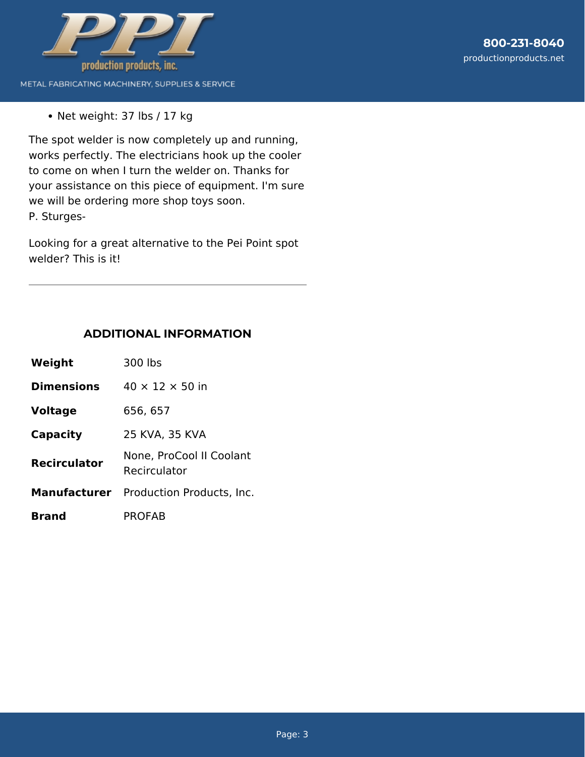

• Net weight: 37 lbs / 17 kg

The spot welder is now completely up and running, works perfectly. The electricians hook up the cooler to come on when I turn the welder on. Thanks for your assistance on this piece of equipment. I'm sure we will be ordering more shop toys soon. P. Sturges-

Looking for a great alternative to the Pei Point spot welder? This is it!

### **ADDITIONAL INFORMATION**

| Weight              | 300 lbs                                       |
|---------------------|-----------------------------------------------|
| <b>Dimensions</b>   | $40 \times 12 \times 50$ in                   |
| <b>Voltage</b>      | 656, 657                                      |
| Capacity            | 25 KVA, 35 KVA                                |
| <b>Recirculator</b> | None, ProCool II Coolant<br>Recirculator      |
|                     | <b>Manufacturer</b> Production Products, Inc. |
| <b>Brand</b>        | PROFAB                                        |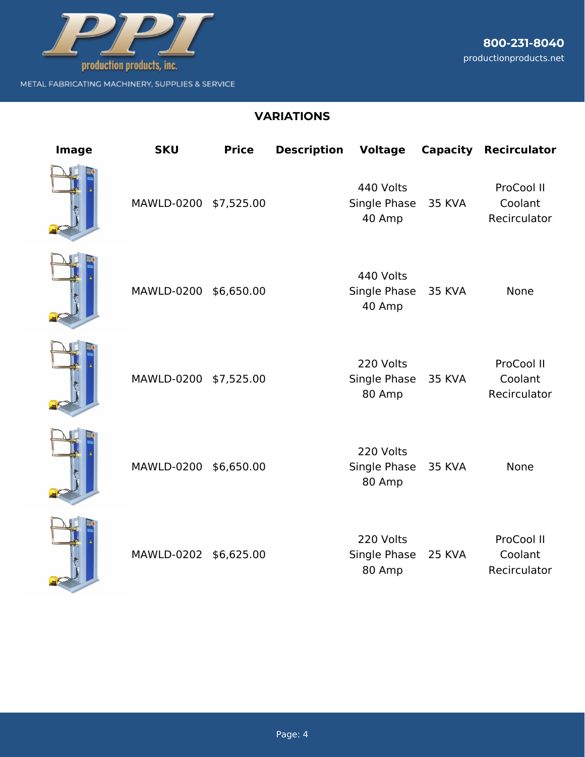

# **VARIATIONS**

| Image | <b>SKU</b>            | <b>Price</b> | <b>Description</b> | <b>Voltage</b>                      |               | <b>Capacity Recirculator</b>          |
|-------|-----------------------|--------------|--------------------|-------------------------------------|---------------|---------------------------------------|
|       | MAWLD-0200 \$7,525.00 |              |                    | 440 Volts<br>Single Phase<br>40 Amp | <b>35 KVA</b> | ProCool II<br>Coolant<br>Recirculator |
|       | MAWLD-0200 \$6,650.00 |              |                    | 440 Volts<br>Single Phase<br>40 Amp | <b>35 KVA</b> | None                                  |
|       | MAWLD-0200 \$7,525.00 |              |                    | 220 Volts<br>Single Phase<br>80 Amp | 35 KVA        | ProCool II<br>Coolant<br>Recirculator |
|       | MAWLD-0200 \$6,650.00 |              |                    | 220 Volts<br>Single Phase<br>80 Amp | <b>35 KVA</b> | <b>None</b>                           |
|       | MAWLD-0202 \$6,625.00 |              |                    | 220 Volts<br>Single Phase<br>80 Amp | <b>25 KVA</b> | ProCool II<br>Coolant<br>Recirculator |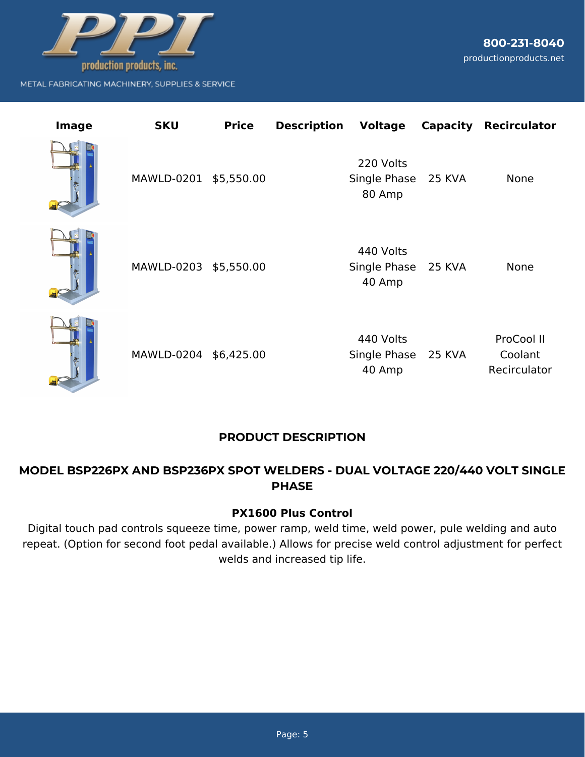

**800-231-8040** productionproducts.net

| Image | <b>SKU</b>            | <b>Price</b> | <b>Description</b> | Voltage                                    |        | <b>Capacity Recirculator</b>          |
|-------|-----------------------|--------------|--------------------|--------------------------------------------|--------|---------------------------------------|
|       | MAWLD-0201 \$5,550.00 |              |                    | 220 Volts<br>Single Phase 25 KVA<br>80 Amp |        | <b>None</b>                           |
|       | MAWLD-0203 \$5,550.00 |              |                    | 440 Volts<br>Single Phase 25 KVA<br>40 Amp |        | None                                  |
|       | MAWLD-0204 \$6,425.00 |              |                    | 440 Volts<br>Single Phase<br>40 Amp        | 25 KVA | ProCool II<br>Coolant<br>Recirculator |

# **PRODUCT DESCRIPTION**

# **MODEL BSP226PX AND BSP236PX SPOT WELDERS - DUAL VOLTAGE 220/440 VOLT SINGLE PHASE**

### **PX1600 Plus Control**

Digital touch pad controls squeeze time, power ramp, weld time, weld power, pule welding and auto repeat. (Option for second foot pedal available.) Allows for precise weld control adjustment for perfect welds and increased tip life.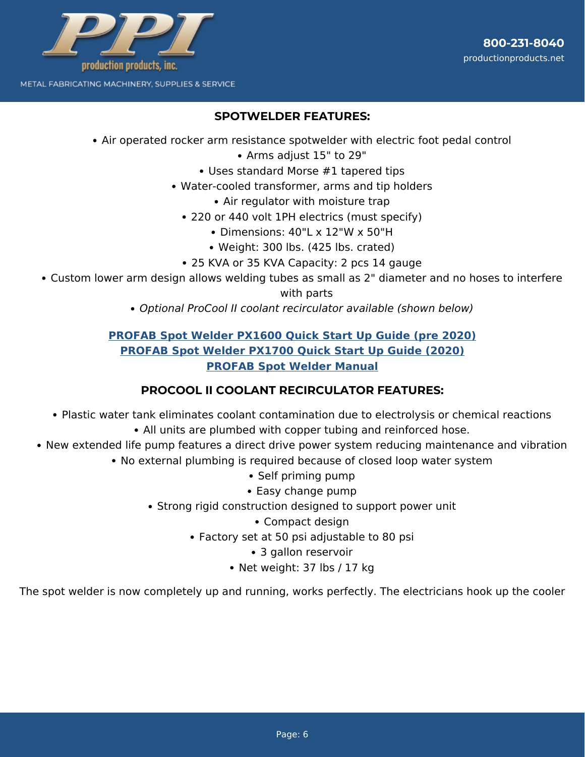

### **SPOTWELDER FEATURES:**

- Air operated rocker arm resistance spotwelder with electric foot pedal control
	- Arms adjust 15" to 29"
	- Uses standard Morse #1 tapered tips
	- Water-cooled transformer, arms and tip holders
		- Air regulator with moisture trap
		- 220 or 440 volt 1PH electrics (must specify)
			- Dimensions: 40"L x 12"W x 50"H
			- Weight: 300 lbs. (425 lbs. crated)
		- 25 KVA or 35 KVA Capacity: 2 pcs 14 gauge
- Custom lower arm design allows welding tubes as small as 2" diameter and no hoses to interfere with parts
	- Optional ProCool II coolant recirculator available (shown below)

## **[PROFAB Spot Welder PX1600 Quick Start Up Guide \(pre 2020\)](https://www.productionproducts.net/profab-spot-welder-px1600-quick-start-up-guide/) [PROFAB Spot Welder PX1700 Quick Start Up Guide \(2020\)](https://www.productionproducts.net/profab-spot-welder-px1700-quick-start-up-guide/) [PROFAB Spot Welder Manual](https://www.productionproducts.net/support/parts-diagrams/profab-spot-welder-manual/)**

### **PROCOOL II COOLANT RECIRCULATOR FEATURES:**

- Plastic water tank eliminates coolant contamination due to electrolysis or chemical reactions
	- All units are plumbed with copper tubing and reinforced hose.
- New extended life pump features a direct drive power system reducing maintenance and vibration
	- No external plumbing is required because of closed loop water system
		- Self priming pump
		- Easy change pump
		- Strong rigid construction designed to support power unit
			- Compact design
			- Factory set at 50 psi adjustable to 80 psi
				- 3 gallon reservoir
				- Net weight: 37 lbs / 17 kg

The spot welder is now completely up and running, works perfectly. The electricians hook up the cooler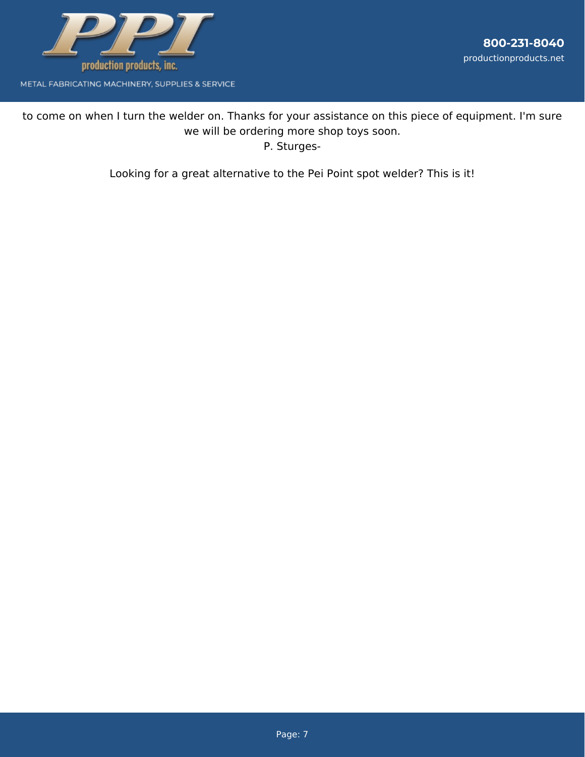

to come on when I turn the welder on. Thanks for your assistance on this piece of equipment. I'm sure we will be ordering more shop toys soon. P. Sturges-

Looking for a great alternative to the Pei Point spot welder? This is it!